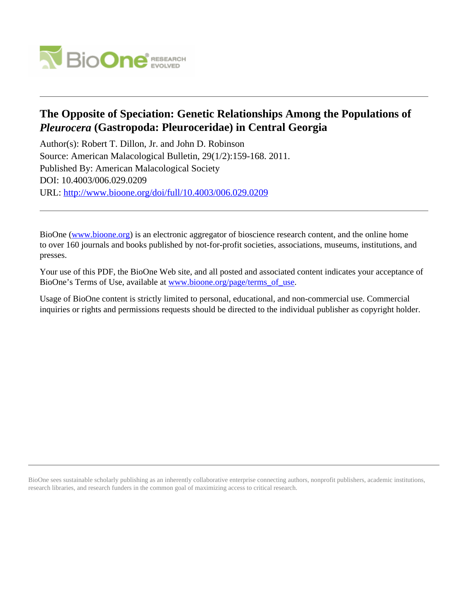

# **The Opposite of Speciation: Genetic Relationships Among the Populations of** *Pleurocera* **(Gastropoda: Pleuroceridae) in Central Georgia**

Author(s): Robert T. Dillon, Jr. and John D. Robinson Source: American Malacological Bulletin, 29(1/2):159-168. 2011. Published By: American Malacological Society DOI: 10.4003/006.029.0209 URL: <http://www.bioone.org/doi/full/10.4003/006.029.0209>

BioOne [\(www.bioone.org\)](http://www.bioone.org) is an electronic aggregator of bioscience research content, and the online home to over 160 journals and books published by not-for-profit societies, associations, museums, institutions, and presses.

Your use of this PDF, the BioOne Web site, and all posted and associated content indicates your acceptance of BioOne's Terms of Use, available at www.bioone.org/page/terms of use.

Usage of BioOne content is strictly limited to personal, educational, and non-commercial use. Commercial inquiries or rights and permissions requests should be directed to the individual publisher as copyright holder.

BioOne sees sustainable scholarly publishing as an inherently collaborative enterprise connecting authors, nonprofit publishers, academic institutions, research libraries, and research funders in the common goal of maximizing access to critical research.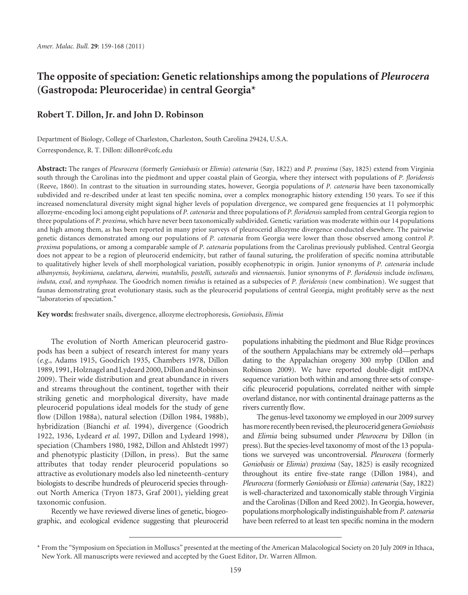## **The opposite of speciation: Genetic relationships among the populations of** *Pleurocera* **(Gastropoda: Pleuroceridae) in central Georgia\***

## **Robert T. Dillon, Jr. and John D. Robinson**

Department of Biology, College of Charleston, Charleston, South Carolina 29424, U.S.A. Correspondence, R. T. Dillon: dillonr@cofc.edu

**Abstract:** The ranges of *Pleurocera* (formerly *Goniobasis* or *Elimia*) *catenaria* (Say, 1822) and *P. proxima* (Say, 1825) extend from Virginia south through the Carolinas into the piedmont and upper coastal plain of Georgia, where they intersect with populations of *P. floridensis* (Reeve, 1860). In contrast to the situation in surrounding states, however, Georgia populations of *P. catenaria* have been taxonomically subdivided and re-described under at least ten specific nomina, over a complex monographic history extending 150 years. To see if this increased nomenclatural diversity might signal higher levels of population divergence, we compared gene frequencies at 11 polymorphic allozyme-encoding loci among eight populations of *P. catenaria* and three populations of *P. floridensis* sampled from central Georgia region to three populations of *P. proxima*, which have never been taxonomically subdivided. Genetic variation was moderate within our 14 populations and high among them, as has been reported in many prior surveys of pleurocerid allozyme divergence conducted elsewhere. The pairwise genetic distances demonstrated among our populations of *P. catenaria* from Georgia were lower than those observed among control *P. proxima* populations, or among a comparable sample of *P. catenaria* populations from the Carolinas previously published. Central Georgia does not appear to be a region of pleurocerid endemicity, but rather of faunal suturing, the proliferation of specific nomina attributable to qualitatively higher levels of shell morphological variation, possibly ecophenotypic in origin. Junior synonyms of *P. catenaria* include *albanyensis, boykiniana, caelatura, darwini, mutabilis, postelli, suturalis* and *viennaensis*. Junior synonyms of *P. fl oridensis* include *inclinans, induta, exul, and nymphaea*. The Goodrich nomen *timidus* is retained as a subspecies of *P. floridensis* (new combination). We suggest that faunas demonstrating great evolutionary stasis, such as the pleurocerid populations of central Georgia, might profitably serve as the next "laboratories of speciation."

**Key words:** freshwater snails, divergence, allozyme electrophoresis, *Goniobasis*, *Elimia*

The evolution of North American pleurocerid gastropods has been a subject of research interest for many years (*e.g*., Adams 1915, Goodrich 1935, Chambers 1978, Dillon 1989, 1991, Holznagel and Lydeard 2000, Dillon and Robinson 2009). Their wide distribution and great abundance in rivers and streams throughout the continent, together with their striking genetic and morphological diversity, have made pleurocerid populations ideal models for the study of gene flow (Dillon 1988a), natural selection (Dillon 1984, 1988b), hybridization (Bianchi *et al.* 1994), divergence (Goodrich 1922, 1936, Lydeard *et al.* 1997, Dillon and Lydeard 1998), speciation (Chambers 1980, 1982, Dillon and Ahlstedt 1997) and phenotypic plasticity (Dillon, in press). But the same attributes that today render pleurocerid populations so attractive as evolutionary models also led nineteenth-century biologists to describe hundreds of pleurocerid species throughout North America (Tryon 1873, Graf 2001), yielding great taxonomic confusion.

Recently we have reviewed diverse lines of genetic, biogeographic, and ecological evidence suggesting that pleurocerid populations inhabiting the piedmont and Blue Ridge provinces of the southern Appalachians may be extremely old—perhaps dating to the Appalachian orogeny 300 mybp (Dillon and Robinson 2009). We have reported double-digit mtDNA sequence variation both within and among three sets of conspecific pleurocerid populations, correlated neither with simple overland distance, nor with continental drainage patterns as the rivers currently flow.

The genus-level taxonomy we employed in our 2009 survey has more recently been revised, the pleurocerid genera *Goniobasis* and *Elimia* being subsumed under *Pleurocera* by Dillon (in press). But the species-level taxonomy of most of the 13 populations we surveyed was uncontroversial. *Pleurocera* (formerly *Goniobasis* or *Elimia*) *proxima* (Say, 1825) is easily recognized throughout its entire five-state range (Dillon 1984), and *Pleurocera* (formerly *Goniobasis* or *Elimia*) *catenaria* (Say, 1822) is well-characterized and taxonomically stable through Virginia and the Carolinas (Dillon and Reed 2002). In Georgia, however, populations morphologically indistinguishable from *P. catenaria* have been referred to at least ten specific nomina in the modern

<sup>\*</sup> From the "Symposium on Speciation in Molluscs" presented at the meeting of the American Malacological Society on 20 July 2009 in Ithaca, New York. All manuscripts were reviewed and accepted by the Guest Editor, Dr. Warren Allmon.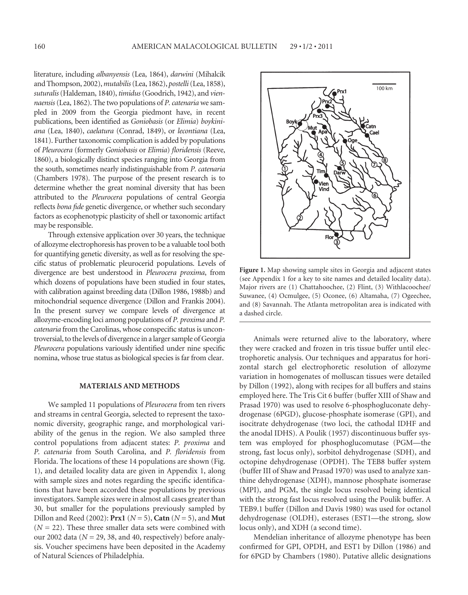literature, including *albanyensis* (Lea, 1864), *darwini* (Mihalcik and Thompson, 2002), *mutabilis* (Lea, 1862), *postelli* (Lea, 1858), *suturalis* (Haldeman, 1840), *timidus* (Goodrich, 1942), and *viennaensis* (Lea, 1862). The two populations of *P. catenaria* we sampled in 2009 from the Georgia piedmont have, in recent publications, been identified as *Goniobasis* (or *Elimia*) *boykiniana* (Lea, 1840), *caelatura* (Conrad, 1849), or *lecontiana* (Lea, 1841). Further taxonomic complication is added by populations of *Pleurocera* (formerly *Goniobasis* or *Elimia*) *fl oridensis* (Reeve, 1860), a biologically distinct species ranging into Georgia from the south, sometimes nearly indistinguishable from *P. catenaria* (Chambers 1978). The purpose of the present research is to determine whether the great nominal diversity that has been attributed to the *Pleurocera* populations of central Georgia reflects *bona fide* genetic divergence, or whether such secondary factors as ecophenotypic plasticity of shell or taxonomic artifact may be responsible.

Through extensive application over 30 years, the technique of allozyme electrophoresis has proven to be a valuable tool both for quantifying genetic diversity, as well as for resolving the specific status of problematic pleurocerid populations. Levels of divergence are best understood in *Pleurocera proxima*, from which dozens of populations have been studied in four states, with calibration against breeding data (Dillon 1986, 1988b) and mitochondrial sequence divergence (Dillon and Frankis 2004). In the present survey we compare levels of divergence at allozyme-encoding loci among populations of *P. proxima* and *P. catenaria* from the Carolinas, whose conspecific status is uncontroversial, to the levels of divergence in a larger sample of Georgia *Pleurocera* populations variously identified under nine specific nomina, whose true status as biological species is far from clear.

#### **MATERIALS AND METHODS**

We sampled 11 populations of *Pleurocera* from ten rivers and streams in central Georgia, selected to represent the taxonomic diversity, geographic range, and morphological variability of the genus in the region. We also sampled three control populations from adjacent states: *P. proxima* and *P. catenaria* from South Carolina, and *P. floridensis* from Florida. The locations of these 14 populations are shown (Fig. 1), and detailed locality data are given in Appendix 1, along with sample sizes and notes regarding the specific identifications that have been accorded these populations by previous investigators. Sample sizes were in almost all cases greater than 30, but smaller for the populations previously sampled by Dillon and Reed (2002): **Prx1** (*N* = 5), **Catn** (*N* = 5), and **Mut**  $(N = 22)$ . These three smaller data sets were combined with our 2002 data (*N* = 29, 38, and 40, respectively) before analysis. Voucher specimens have been deposited in the Academy of Natural Sciences of Philadelphia.



**Figure 1.** Map showing sample sites in Georgia and adjacent states (see Appendix 1 for a key to site names and detailed locality data). Major rivers are (1) Chattahoochee, (2) Flint, (3) Withlacoochee/ Suwanee, (4) Ocmulgee, (5) Oconee, (6) Altamaha, (7) Ogeechee, and (8) Savannah. The Atlanta metropolitan area is indicated with a dashed circle.

Animals were returned alive to the laboratory, where they were cracked and frozen in tris tissue buffer until electrophoretic analysis. Our techniques and apparatus for horizontal starch gel electrophoretic resolution of allozyme variation in homogenates of molluscan tissues were detailed by Dillon (1992), along with recipes for all buffers and stains employed here. The Tris Cit 6 buffer (buffer XIII of Shaw and Prasad 1970) was used to resolve 6-phosphogluconate dehydrogenase (6PGD), glucose-phosphate isomerase (GPI), and isocitrate dehydrogenase (two loci, the cathodal IDHF and the anodal IDHS). A Poulik (1957) discontinuous buffer system was employed for phosphoglucomutase (PGM—the strong, fast locus only), sorbitol dehydrogenase (SDH), and octopine dehydrogenase (OPDH). The TEB8 buffer system (buffer III of Shaw and Prasad 1970) was used to analyze xanthine dehydrogenase (XDH), mannose phosphate isomerase (MPI), and PGM, the single locus resolved being identical with the strong fast locus resolved using the Poulik buffer. A TEB9.1 buffer (Dillon and Davis 1980) was used for octanol dehydrogenase (OLDH), esterases (EST1—the strong, slow locus only), and XDH (a second time).

Mendelian inheritance of allozyme phenotype has been confirmed for GPI, OPDH, and EST1 by Dillon (1986) and for 6PGD by Chambers (1980). Putative allelic designations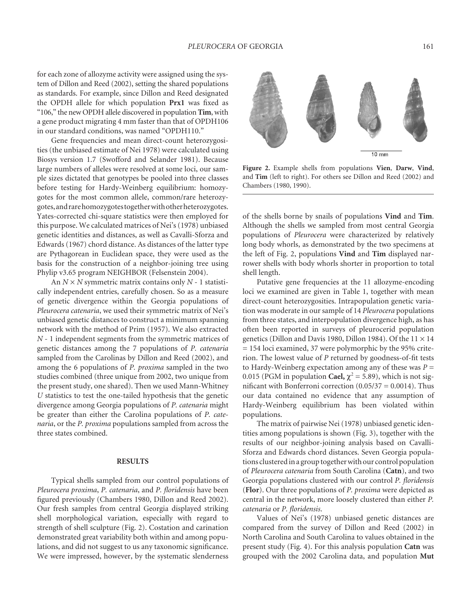for each zone of allozyme activity were assigned using the system of Dillon and Reed (2002), setting the shared populations as standards. For example, since Dillon and Reed designated the OPDH allele for which population **Prx1** was fixed as "106," the new OPDH allele discovered in population **Tim**, with a gene product migrating 4 mm faster than that of OPDH106 in our standard conditions, was named "OPDH110."

Gene frequencies and mean direct-count heterozygosities (the unbiased estimate of Nei 1978) were calculated using Biosys version 1.7 (Swofford and Selander 1981). Because large numbers of alleles were resolved at some loci, our sample sizes dictated that genotypes be pooled into three classes before testing for Hardy-Weinberg equilibrium: homozygotes for the most common allele, common/rare heterozygotes, and rare homozygotes together with other heterozygotes. Yates-corrected chi-square statistics were then employed for this purpose. We calculated matrices of Nei's (1978) unbiased genetic identities and distances, as well as Cavalli-Sforza and Edwards (1967) chord distance. As distances of the latter type are Pythagorean in Euclidean space, they were used as the basis for the construction of a neighbor-joining tree using Phylip v3.65 program NEIGHBOR (Felsenstein 2004).

An *N* × *N* symmetric matrix contains only *N* - 1 statistically independent entries, carefully chosen. So as a measure of genetic divergence within the Georgia populations of *Pleurocera catenaria*, we used their symmetric matrix of Nei's unbiased genetic distances to construct a minimum spanning network with the method of Prim (1957). We also extracted *N* - 1 independent segments from the symmetric matrices of genetic distances among the 7 populations of *P. catenaria* sampled from the Carolinas by Dillon and Reed (2002), and among the 6 populations of *P. proxima* sampled in the two studies combined (three unique from 2002, two unique from the present study, one shared). Then we used Mann-Whitney *U* statistics to test the one-tailed hypothesis that the genetic divergence among Georgia populations of *P. catenaria* might be greater than either the Carolina populations of *P. catenaria*, or the *P. proxima* populations sampled from across the three states combined.

#### **RESULTS**

Typical shells sampled from our control populations of *Pleurocera proxima*, *P. catenaria*, and *P. fl oridensis* have been figured previously (Chambers 1980, Dillon and Reed 2002). Our fresh samples from central Georgia displayed striking shell morphological variation, especially with regard to strength of shell sculpture (Fig. 2). Costation and carination demonstrated great variability both within and among populations, and did not suggest to us any taxonomic significance. We were impressed, however, by the systematic slenderness



**Figure 2.** Example shells from populations **Vien**, **Darw**, **Vind**, and **Tim** (left to right). For others see Dillon and Reed (2002) and Chambers (1980, 1990).

of the shells borne by snails of populations **Vind** and **Tim**. Although the shells we sampled from most central Georgia populations of *Pleurocera* were characterized by relatively long body whorls, as demonstrated by the two specimens at the left of Fig. 2, populations **Vind** and **Tim** displayed narrower shells with body whorls shorter in proportion to total shell length.

Putative gene frequencies at the 11 allozyme-encoding loci we examined are given in Table 1, together with mean direct-count heterozygosities. Intrapopulation genetic variation was moderate in our sample of 14 *Pleurocera* populations from three states, and interpopulation divergence high, as has often been reported in surveys of pleurocerid population genetics (Dillon and Davis 1980, Dillon 1984). Of the  $11 \times 14$ = 154 loci examined, 37 were polymorphic by the 95% criterion. The lowest value of *P* returned by goodness-of-fit tests to Hardy-Weinberg expectation among any of these was  $P =$ 0.015 (PGM in population **Cael,**  $\chi^2 = 5.89$ ), which is not significant with Bonferroni correction  $(0.05/37 = 0.0014)$ . Thus our data contained no evidence that any assumption of Hardy-Weinberg equilibrium has been violated within populations.

The matrix of pairwise Nei (1978) unbiased genetic identities among populations is shown (Fig. 3), together with the results of our neighbor-joining analysis based on Cavalli-Sforza and Edwards chord distances. Seven Georgia populations clustered in a group together with our control population of *Pleurocera catenaria* from South Carolina (**Catn**), and two Georgia populations clustered with our control *P. floridensis* (**Flor**). Our three populations of *P. proxima* were depicted as central in the network, more loosely clustered than either *P. catenaria* or *P. floridensis.* 

Values of Nei's (1978) unbiased genetic distances are compared from the survey of Dillon and Reed (2002) in North Carolina and South Carolina to values obtained in the present study (Fig. 4). For this analysis population **Catn** was grouped with the 2002 Carolina data, and population **Mut**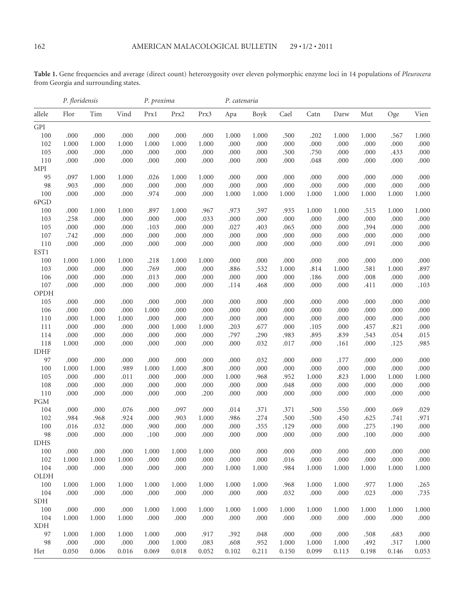**Table 1.** Gene frequencies and average (direct count) heterozygosity over eleven polymorphic enzyme loci in 14 populations of *Pleurocera* from Georgia and surrounding states.

|                         | P. floridensis |        |       | P. proxima |       |           |       | P. catenaria |       |        |        |        |        |       |
|-------------------------|----------------|--------|-------|------------|-------|-----------|-------|--------------|-------|--------|--------|--------|--------|-------|
| allele                  | Flor           | Tim    | Vind  | Prx1       | Prx2  | Prx3      | Apa   | Boyk         | Cael  | Catn   | Darw   | Mut    | Oge    | Vien  |
| GPI                     |                |        |       |            |       |           |       |              |       |        |        |        |        |       |
| $100\,$                 | .000           | .000.  | .000  | .000       | .000  | .000      | 1.000 | 1.000        | .500  | .202   | 1.000  | 1.000  | .567   | 1.000 |
| 102                     | 1.000          | 1.000  | 1.000 | 1.000      | 1.000 | 1.000     | .000  | .000         | .000  | .000   | .000   | .000   | .000   | .000  |
| 105                     | .000           | .000   | .000  | .000       | .000  | .000      | .000  | .000         | .500  | .750   | .000   | .000   | .433   | .000  |
| 110                     | .000           | .000   | .000  | .000       | .000  | .000      | .000  | .000         | .000  | $.048$ | .000   | .000   | .000   | .000  |
| MPI                     |                |        |       |            |       |           |       |              |       |        |        |        |        |       |
| 95                      | .097           | 1.000  | 1.000 | .026       | 1.000 | 1.000     | .000  | .000         | .000  | .000   | .000   | .000   | .000   | .000  |
| 98                      | .903           | .000   | .000  | .000       | .000  | .000      | .000  | .000         | .000  | .000   | .000   | .000   | .000   | .000  |
| 100                     | .000           | .000   | .000  | .974       | .000  | .000      | 1.000 | 1.000        | 1.000 | 1.000  | 1.000  | 1.000  | 1.000  | 1.000 |
| 6PGD                    |                |        |       |            |       |           |       |              |       |        |        |        |        |       |
| 100                     | .000           | 1.000  | 1.000 | .897       | 1.000 | .967      | .973  | .597         | .935  | 1.000  | 1.000  | .515   | 1.000  | 1.000 |
| 103                     | .258           | .000   | .000  | .000       | .000  | .033      | .000  | .000         | .000  | .000   | .000   | .000   | .000   | .000  |
| 105                     | .000           | .000   | .000  | .103       | .000  | .000      | .027  | .403         | .065  | .000   | .000   | .394   | .000   | .000  |
| 107                     | .742           | .000   | .000  | .000       | .000  | .000      | .000  | .000         | .000  | .000   | .000   | .000   | .000   | .000  |
| 110<br>EST1             | .000           | .000   | .000  | .000       | .000  | .000      | .000  | .000         | .000  | .000   | .000   | .091   | .000   | .000  |
| 100                     | 1.000          | 1.000  | 1.000 | .218       | 1.000 | 1.000     | .000  | .000         | .000  | .000   | .000   | .000   | .000   | .000  |
| 103                     | .000           | .000   | .000  | .769       | .000  | .000      | .886  | .532         | 1.000 | .814   | 1.000  | .581   | 1.000  | .897  |
| 106                     | .000           | .000   | .000  | .013       | .000  | .000      | .000  | .000         | .000  | .186   | .000   | .008   | .000   | .000  |
| 107                     | .000           | .000   | .000  | .000       | .000  | .000      | .114  | .468         | .000  | .000   | .000   | .411   | .000   | .103  |
| OPDH                    |                |        |       |            |       |           |       |              |       |        |        |        |        |       |
| 105                     | .000           | .000   | .000  | .000       | .000  | .000      | .000  | .000         | .000  | .000   | .000   | .000   | .000   | .000  |
| 106                     | .000           | .000   | .000  | 1.000      | .000  | .000      | .000  | .000         | .000  | .000   | .000   | .000   | .000   | .000  |
| 110                     | .000           | 1.000  | 1.000 | .000       | .000  | .000      | .000  | .000         | .000  | .000   | .000   | .000   | .000   | .000  |
| 111                     | .000           | .000   | .000  | .000       | 1.000 | 1.000     | .203  | .677         | .000  | .105   | .000   | .457   | .821   | .000  |
| 114                     | .000           | .000   | .000  | .000       | .000  | .000      | .797  | .290         | .983  | .895   | .839   | .543   | .054   | .015  |
| 118                     | 1.000          | .000   | .000  | .000       | .000  | .000      | .000  | .032         | .017  | .000   | .161   | .000   | .125   | .985  |
| <b>IDHF</b>             |                |        |       |            |       |           |       |              |       |        |        |        |        |       |
| 97                      | .000           | .000   | .000  | .000       | .000  | .000      | .000  | .032         | .000  | .000   | .177   | .000   | .000   | .000  |
| 100                     | 1.000          | 1.000  | .989  | 1.000      | 1.000 | .800      | .000  | .000         | .000  | .000   | .000   | .000   | .000   | .000  |
| 105                     | .000           | .000   | .011  | .000       | .000  | .000      | 1.000 | .968         | .952  | 1.000  | .823   | 1.000  | 1.000  | 1.000 |
| 108                     | .000           | .000   | .000  | .000       | .000  | .000      | .000  | .000         | .048  | .000   | .000   | .000   | .000   | .000  |
| 110                     | .000           | .000   | .000  | .000       | .000  | .200      | .000  | .000         | .000  | .000   | .000   | .000   | .000   | .000  |
| $\mathop{\mathrm{PGM}}$ |                |        |       |            |       |           |       |              |       |        |        |        |        |       |
| 104                     | .000           | .000   | .076  | .000       | .097  | .000      | .014  | .371         | .371  | .500   | .550   | .000   | .069   | .029  |
| 102                     | .984           | .968   | .924  | .000       | .903  | 1.000     | .986  | .274         | .500  | .500   | .450   | .625   | .741   | .971  |
| 100                     | .016           | .032   | .000  | .900       | .000  | .000      | .000  | .355         | .129  | .000   | .000   | .275   | .190   | .000  |
| 98                      | .000           | .000   | .000  | .100       | .000  | .000      | .000  | .000         | .000  | .000   | .000   | $.100$ | .000   | .000  |
| <b>IDHS</b>             |                |        |       |            |       |           |       |              |       |        |        |        |        |       |
| 100                     | $.000$         | $.000$ | .000  | 1.000      | 1.000 | $1.000\,$ | .000  | $.000$       | .000. | $.000$ | $.000$ | $.000$ | $.000$ | .000  |
| 102                     | 1.000          | 1.000  | 1.000 | .000       | .000  | .000      | .000  | .000         | .016  | .000   | .000   | .000   | .000   | .000  |
| 104                     | .000           | .000   | .000  | .000       | .000  | .000      | 1.000 | 1.000        | .984  | 1.000  | 1.000  | 1.000  | 1.000  | 1.000 |
| OLDH                    |                |        |       |            |       |           |       |              |       |        |        |        |        |       |
| $100\,$                 | 1.000          | 1.000  | 1.000 | 1.000      | 1.000 | 1.000     | 1.000 | 1.000        | .968  | 1.000  | 1.000  | .977   | 1.000  | .265  |
| 104                     | .000           | .000   | .000  | .000       | .000  | .000      | .000  | .000         | .032  | .000   | .000   | .023   | .000   | .735  |
| SDH                     |                |        |       |            |       |           |       |              |       |        |        |        |        |       |
| $100\,$                 | .000           | .000   | .000  | 1.000      | 1.000 | 1.000     | 1.000 | 1.000        | 1.000 | 1.000  | 1.000  | 1.000  | 1.000  | 1.000 |
| 104                     | 1.000          | 1.000  | 1.000 | .000       | .000  | .000      | .000  | .000         | .000  | .000   | .000   | .000   | .000   | .000  |
| <b>XDH</b>              |                |        |       |            |       |           |       |              |       |        |        |        |        |       |
| 97                      | 1.000          | 1.000  | 1.000 | 1.000      | .000  | .917      | .392  | .048         | .000  | .000   | .000   | .508   | .683   | .000  |
| 98                      | .000           | .000   | .000  | .000       | 1.000 | .083      | .608  | .952         | 1.000 | 1.000  | 1.000  | .492   | .317   | 1.000 |
| Het                     | 0.050          | 0.006  | 0.016 | 0.069      | 0.018 | 0.052     | 0.102 | 0.211        | 0.150 | 0.099  | 0.113  | 0.198  | 0.146  | 0.053 |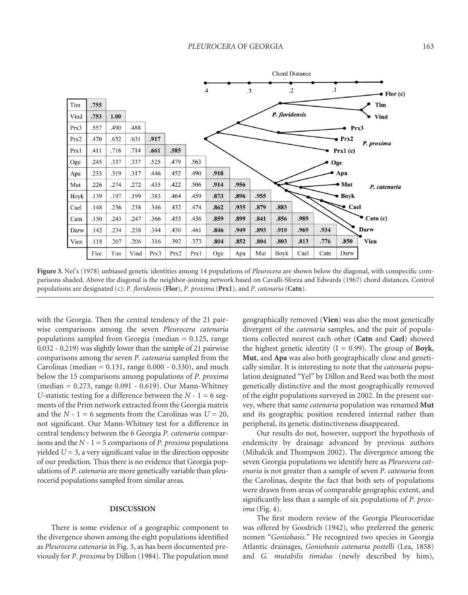

Figure 3. Nei's (1978) unbiased genetic identities among 14 populations of *Pleurocera* are shown below the diagonal, with conspecific comparisons shaded. Above the diagonal is the neighbor-joining network based on Cavalli-Sforza and Edwards (1967) chord distances. Control populations are designated (c): *P. floridensis* (Flor), *P. proxima* (Prx1), and *P. catenaria* (Catn).

with the Georgia. Then the central tendency of the 21 pairwise comparisons among the seven *Pleurocera catenaria* populations sampled from Georgia (median = 0.125, range 0.032 - 0.219) was slightly lower than the sample of 21 pairwise comparisons among the seven *P. catenaria* sampled from the Carolinas (median =  $0.131$ , range  $0.000 - 0.330$ ), and much below the 15 comparisons among populations of *P. proxima* (median = 0.273, range 0.091 - 0.619). Our Mann-Whitney *U*-statistic testing for a difference between the  $N - 1 = 6$  segments of the Prim network extracted from the Georgia matrix and the  $N - 1 = 6$  segments from the Carolinas was  $U = 20$ , not significant. Our Mann-Whitney test for a difference in central tendency between the 6 Georgia *P. catenaria* comparisons and the  $N - 1 = 5$  comparisons of *P. proxima* populations yielded  $U = 3$ , a very significant value in the direction opposite of our prediction. Thus there is no evidence that Georgia populations of *P. catenaria* are more genetically variable than pleurocerid populations sampled from similar areas.

## **DISCUSSION**

There is some evidence of a geographic component to the divergence shown among the eight populations identified as *Pleurocera catenaria* in Fig. 3, as has been documented previously for *P. proxima* by Dillon (1984). The population most geographically removed (**Vien**) was also the most genetically divergent of the *catenaria* samples, and the pair of populations collected nearest each other (**Catn** and **Cael**) showed the highest genetic identity  $(I = 0.99)$ . The group of **Boyk**, **Mut**, and **Apa** was also both geographically close and genetically similar. It is interesting to note that the *catenaria* population designated "Yel" by Dillon and Reed was both the most genetically distinctive and the most geographically removed of the eight populations surveyed in 2002. In the present survey, where that same *catenaria* population was renamed **Mut** and its geographic position rendered internal rather than peripheral, its genetic distinctiveness disappeared.

Our results do not, however, support the hypothesis of endemicity by drainage advanced by previous authors (Mihalcik and Thompson 2002). The divergence among the seven Georgia populations we identify here as *Pleurocera catenaria* is not greater than a sample of seven *P. catenaria* from the Carolinas, despite the fact that both sets of populations were drawn from areas of comparable geographic extent, and significantly less than a sample of six populations of *P. proxima* (Fig. 4).

The first modern review of the Georgia Pleuroceridae was offered by Goodrich (1942), who preferred the generic nomen "*Goniobasis*." He recognized two species in Georgia Atlantic drainages, *Goniobasis catenaria postelli* (Lea, 1858) and *G. mutabilis timidus* (newly described by him),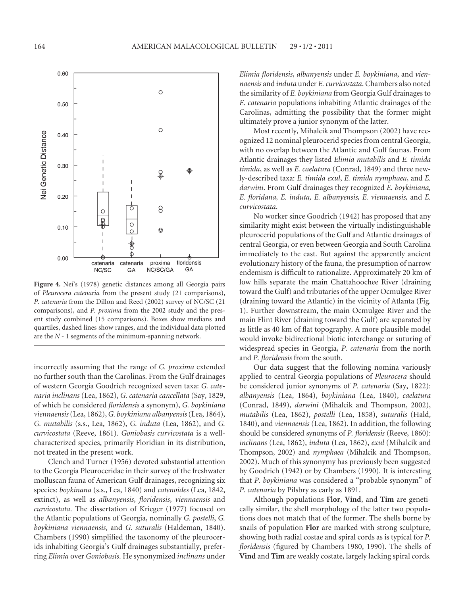

**Figure 4.** Nei's (1978) genetic distances among all Georgia pairs of *Pleurocera catenaria* from the present study (21 comparisons), *P. catenaria* from the Dillon and Reed (2002) survey of NC/SC (21 comparisons), and *P. proxima* from the 2002 study and the present study combined (15 comparisons). Boxes show medians and quartiles, dashed lines show ranges, and the individual data plotted are the *N* - 1 segments of the minimum-spanning network.

incorrectly assuming that the range of *G. proxima* extended no further south than the Carolinas. From the Gulf drainages of western Georgia Goodrich recognized seven taxa: *G. catenaria inclinans* (Lea, 1862), *G. catenaria cancellata* (Say, 1829, of which he considered *fl oridensis* a synonym), *G. boykiniana viennaensis* (Lea, 1862), *G. boykiniana albanyensis* (Lea, 1864), *G. mutabilis* (s.s., Lea, 1862), *G. induta* (Lea, 1862), and *G. curvicostata* (Reeve, 1861). *Goniobasis curvicostata* is a wellcharacterized species, primarily Floridian in its distribution, not treated in the present work.

Clench and Turner (1956) devoted substantial attention to the Georgia Pleuroceridae in their survey of the freshwater molluscan fauna of American Gulf drainages, recognizing six species: *boykinana* (s.s., Lea, 1840) and *catenoides* (Lea, 1842, extinct), as well as *albanyensis*, *floridensis*, *viennaensis* and *curvicostata*. The dissertation of Krieger (1977) focused on the Atlantic populations of Georgia, nominally *G. postelli*, *G. boykiniana viennaensis*, and *G. suturalis* (Haldeman, 1840). Chambers (1990) simplified the taxonomy of the pleurocerids inhabiting Georgia's Gulf drainages substantially, preferring *Elimia* over *Goniobasis*. He synonymized *inclinans* under

*Elimia fl oridensis*, *albanyensis* under *E. boykiniana*, and *viennaensis* and *induta* under *E. curvicostata*. Chambers also noted the similarity of *E. boykiniana* from Georgia Gulf drainages to *E. catenaria* populations inhabiting Atlantic drainages of the Carolinas, admitting the possibility that the former might ultimately prove a junior synonym of the latter.

Most recently, Mihalcik and Thompson (2002) have recognized 12 nominal pleurocerid species from central Georgia, with no overlap between the Atlantic and Gulf faunas. From Atlantic drainages they listed *Elimia mutabilis* and *E. timida timida*, as well as *E. caelatura* (Conrad, 1849) and three newly-described taxa: *E. timida exul*, *E. timida nymphaea*, and *E. darwini*. From Gulf drainages they recognized *E. boykiniana, E. fl oridana, E. induta, E. albanyensis, E. viennaensis,* and *E. curvicostata*.

No worker since Goodrich (1942) has proposed that any similarity might exist between the virtually indistinguishable pleurocerid populations of the Gulf and Atlantic drainages of central Georgia, or even between Georgia and South Carolina immediately to the east. But against the apparently ancient evolutionary history of the fauna, the presumption of narrow endemism is difficult to rationalize. Approximately 20 km of low hills separate the main Chattahoochee River (draining toward the Gulf) and tributaries of the upper Ocmulgee River (draining toward the Atlantic) in the vicinity of Atlanta (Fig. 1). Further downstream, the main Ocmulgee River and the main Flint River (draining toward the Gulf) are separated by as little as 40 km of flat topography. A more plausible model would invoke bidirectional biotic interchange or suturing of widespread species in Georgia, *P. catenaria* from the north and *P. floridensis* from the south.

Our data suggest that the following nomina variously applied to central Georgia populations of *Pleurocera* should be considered junior synonyms of *P. catenaria* (Say, 1822): *albanyensis* (Lea, 1864), *boykiniana* (Lea, 1840), *caelatura* (Conrad, 1849), *darwini* (Mihalcik and Thompson, 2002), *mutabilis* (Lea, 1862), *postelli* (Lea, 1858), *suturalis* (Hald, 1840), and *viennaensis* (Lea, 1862). In addition, the following should be considered synonyms of *P. floridensis* (Reeve, 1860): *inclinans* (Lea, 1862), *induta* (Lea, 1862), *exul* (Mihalcik and Thompson, 2002) and *nymphaea* (Mihalcik and Thompson, 2002). Much of this synonymy has previously been suggested by Goodrich (1942) or by Chambers (1990). It is interesting that *P. boykiniana* was considered a "probable synonym" of *P. catenaria* by Pilsbry as early as 1891.

Although populations **Flor**, **Vind**, and **Tim** are genetically similar, the shell morphology of the latter two populations does not match that of the former. The shells borne by snails of population **Flor** are marked with strong sculpture, showing both radial costae and spiral cords as is typical for *P. floridensis* (figured by Chambers 1980, 1990). The shells of **Vind** and **Tim** are weakly costate, largely lacking spiral cords.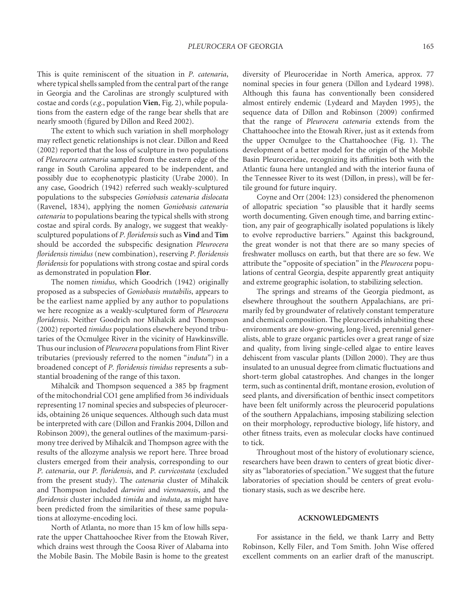This is quite reminiscent of the situation in *P. catenaria*, where typical shells sampled from the central part of the range in Georgia and the Carolinas are strongly sculptured with costae and cords (*e.g.*, population **Vien**, Fig. 2), while populations from the eastern edge of the range bear shells that are nearly smooth (figured by Dillon and Reed 2002).

The extent to which such variation in shell morphology may reflect genetic relationships is not clear. Dillon and Reed (2002) reported that the loss of sculpture in two populations of *Pleurocera catenaria* sampled from the eastern edge of the range in South Carolina appeared to be independent, and possibly due to ecophenotypic plasticity (Urabe 2000). In any case, Goodrich (1942) referred such weakly-sculptured populations to the subspecies *Goniobasis catenaria dislocata*  (Ravenel, 1834), applying the nomen *Goniobasis catenaria catenaria* to populations bearing the typical shells with strong costae and spiral cords. By analogy, we suggest that weaklysculptured populations of *P. floridensis* such as Vind and Tim should be accorded the subspecific designation *Pleurocera floridensis timidus* (new combination), reserving *P. floridensis floridensis* for populations with strong costae and spiral cords as demonstrated in population **Flor**.

The nomen *timidus*, which Goodrich (1942) originally proposed as a subspecies of *Goniobasis mutabilis*, appears to be the earliest name applied by any author to populations we here recognize as a weakly-sculptured form of *Pleurocera floridensis*. Neither Goodrich nor Mihalcik and Thompson (2002) reported *timidus* populations elsewhere beyond tributaries of the Ocmulgee River in the vicinity of Hawkinsville. Thus our inclusion of *Pleurocera* populations from Flint River tributaries (previously referred to the nomen "*induta*") in a broadened concept of *P. floridensis timidus* represents a substantial broadening of the range of this taxon.

Mihalcik and Thompson sequenced a 385 bp fragment of the mitochondrial CO1 gene amplified from 36 individuals representing 17 nominal species and subspecies of pleurocerids, obtaining 26 unique sequences. Although such data must be interpreted with care (Dillon and Frankis 2004, Dillon and Robinson 2009), the general outlines of the maximum-parsimony tree derived by Mihalcik and Thompson agree with the results of the allozyme analysis we report here. Three broad clusters emerged from their analysis, corresponding to our *P. catenaria*, our *P. fl oridensis*, and *P. curvicostata* (excluded from the present study). The *catenaria* cluster of Mihalcik and Thompson included *darwini* and *viennaensis*, and the *fl oridensis* cluster included *timida* and *induta*, as might have been predicted from the similarities of these same populations at allozyme-encoding loci.

North of Atlanta, no more than 15 km of low hills separate the upper Chattahoochee River from the Etowah River, which drains west through the Coosa River of Alabama into the Mobile Basin. The Mobile Basin is home to the greatest diversity of Pleuroceridae in North America, approx. 77 nominal species in four genera (Dillon and Lydeard 1998). Although this fauna has conventionally been considered almost entirely endemic (Lydeard and Mayden 1995), the sequence data of Dillon and Robinson (2009) confirmed that the range of *Pleurocera catenaria* extends from the Chattahoochee into the Etowah River, just as it extends from the upper Ocmulgee to the Chattahoochee (Fig. 1). The development of a better model for the origin of the Mobile Basin Pleuroceridae, recognizing its affinities both with the Atlantic fauna here untangled and with the interior fauna of the Tennessee River to its west (Dillon, in press), will be fertile ground for future inquiry.

Coyne and Orr (2004: 123) considered the phenomenon of allopatric speciation "so plausible that it hardly seems worth documenting. Given enough time, and barring extinction, any pair of geographically isolated populations is likely to evolve reproductive barriers." Against this background, the great wonder is not that there are so many species of freshwater molluscs on earth, but that there are so few. We attribute the "opposite of speciation" in the *Pleurocera* populations of central Georgia, despite apparently great antiquity and extreme geographic isolation, to stabilizing selection.

The springs and streams of the Georgia piedmont, as elsewhere throughout the southern Appalachians, are primarily fed by groundwater of relatively constant temperature and chemical composition. The pleurocerids inhabiting these environments are slow-growing, long-lived, perennial generalists, able to graze organic particles over a great range of size and quality, from living single-celled algae to entire leaves dehiscent from vascular plants (Dillon 2000). They are thus insulated to an unusual degree from climatic fluctuations and short-term global catastrophes. And changes in the longer term, such as continental drift, montane erosion, evolution of seed plants, and diversification of benthic insect competitors have been felt uniformly across the pleurocerid populations of the southern Appalachians, imposing stabilizing selection on their morphology, reproductive biology, life history, and other fitness traits, even as molecular clocks have continued to tick.

Throughout most of the history of evolutionary science, researchers have been drawn to centers of great biotic diversity as "laboratories of speciation." We suggest that the future laboratories of speciation should be centers of great evolutionary stasis, such as we describe here.

## **ACKNOWLEDGMENTS**

For assistance in the field, we thank Larry and Betty Robinson, Kelly Filer, and Tom Smith. John Wise offered excellent comments on an earlier draft of the manuscript.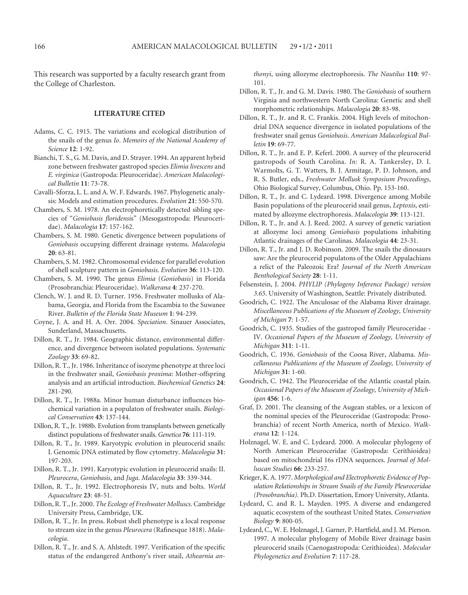This research was supported by a faculty research grant from the College of Charleston.

### **LITERATURE CITED**

- Adams, C. C. 1915. The variations and ecological distribution of the snails of the genus *Io*. *Memoirs of the National Academy of Science* **12**: 1-92.
- Bianchi, T. S., G. M. Davis, and D. Strayer. 1994. An apparent hybrid zone between freshwater gastropod species *Elimia livescens* and *E. virginica* (Gastropoda: Pleuroceridae). *American Malacological Bulletin* **11**: 73-78.
- Cavalli-Sforza, L. L. and A. W. F. Edwards. 1967. Phylogenetic analysis: Models and estimation procedures. *Evolution* **21**: 550-570.
- Chambers, S. M. 1978. An electrophoretically detected sibling species of "Goniobasis floridensis" (Mesogastropoda: Pleuroceridae). *Malacologia* **17**: 157-162.
- Chambers, S. M. 1980. Genetic divergence between populations of *Goniobasis* occupying different drainage systems. *Malacologia* **20**: 63-81.
- Chambers, S. M. 1982. Chromosomal evidence for parallel evolution of shell sculpture pattern in *Goniobasis*. *Evolution* **36**: 113-120.
- Chambers, S. M. 1990. The genus *Elimia* (*Goniobasis*) in Florida (Prosobranchia: Pleuroceridae). *Walkerana* **4**: 237-270.
- Clench, W. J. and R. D. Turner. 1956. Freshwater mollusks of Alabama, Georgia, and Florida from the Escambia to the Suwanee River. *Bulletin of the Florida State Museum* **1**: 94-239.
- Coyne, J. A. and H. A. Orr. 2004. *Speciation*. Sinauer Associates, Sunderland, Massachusetts.
- Dillon, R. T., Jr. 1984. Geographic distance, environmental difference, and divergence between isolated populations. *Systematic Zoology* **33**: 69-82.
- Dillon, R. T., Jr. 1986. Inheritance of isozyme phenotype at three loci in the freshwater snail, *Goniobasis proxima*: Mother-offspring analysis and an artificial introduction. *Biochemical Genetics* 24: 281-290.
- Dillon, R. T., Jr. 1988a. Minor human disturbance influences biochemical variation in a populaton of freshwater snails. *Biological Conservation* **43**: 137-144.
- Dillon, R. T., Jr. 1988b. Evolution from transplants between genetically distinct populations of freshwater snails. *Genetica* **76**: 111-119.
- Dillon, R. T., Jr. 1989. Karyotypic evolution in pleurocerid snails: I. Genomic DNA estimated by flow cytometry. *Malacologia* 31: 197-203.
- Dillon, R. T., Jr. 1991. Karyotypic evolution in pleurocerid snails: II. *Pleurocera*, *Goniobasis*, and *Juga*. *Malacologia* **33**: 339-344.
- Dillon, R. T., Jr. 1992. Electrophoresis IV, nuts and bolts. *World Aquaculture* **23**: 48-51.
- Dillon, R. T., Jr. 2000. *The Ecology of Freshwater Molluscs*. Cambridge University Press, Cambridge, UK.
- Dillon, R. T., Jr. In press. Robust shell phenotype is a local response to stream size in the genus Pleurocera (Rafinesque 1818). Mala*cologia*.
- Dillon, R. T., Jr. and S. A. Ahlstedt. 1997. Verification of the specific status of the endangered Anthony's river snail, *Athearnia an-*

*thonyi*, using allozyme electrophoresis. *The Nautilus* **110**: 97- 101.

- Dillon, R. T., Jr. and G. M. Davis. 1980. The *Goniobasis* of southern Virginia and northwestern North Carolina: Genetic and shell morphometric relationships. *Malacologia* **20**: 83-98.
- Dillon, R. T., Jr. and R. C. Frankis. 2004. High levels of mitochondrial DNA sequence divergence in isolated populations of the freshwater snail genus *Goniobasis*. *American Malacological Bulletin* **19**: 69-77.
- Dillon, R. T., Jr. and E. P. Keferl. 2000. A survey of the pleurocerid gastropods of South Carolina. *In:* R. A. Tankersley, D. I. Warmolts, G. T. Watters, B. J. Armitage, P. D. Johnson, and R. S. Butler, eds., *Freshwater Mollusk Symposium Proceedings*, Ohio Biological Survey, Columbus, Ohio. Pp. 153-160.
- Dillon, R. T., Jr. and C. Lydeard. 1998. Divergence among Mobile Basin populations of the pleurocerid snail genus, *Leptoxis*, estimated by allozyme electrophoresis. *Malacologia* **39**: 113-121.
- Dillon, R. T., Jr. and A. J. Reed. 2002. A survey of genetic variation at allozyme loci among *Goniobasis* populations inhabiting Atlantic drainages of the Carolinas. *Malacologia* **44**: 23-31.
- Dillon, R. T., Jr. and J. D. Robinson. 2009. The snails the dinosaurs saw: Are the pleurocerid populatons of the Older Appalachians a relict of the Paleozoic Era? *Journal of the North American Benthological Society* **28**: 1-11.
- Felsenstein, J. 2004. *PHYLIP (Phylogeny Inference Package) version 3.65*. University of Washington, Seattle: Privately distributed.
- Goodrich, C. 1922. The Anculosae of the Alabama River drainage. *Miscellaneous Publications of the Museum of Zoology, University of Michigan* **7**: 1-57.
- Goodrich, C. 1935. Studies of the gastropod family Pleuroceridae IV. *Occasional Papers of the Museum of Zoology, University of Michigan* **311**: 1-11.
- Goodrich, C. 1936. *Goniobasis* of the Coosa River, Alabama. *Miscellaneous Publications of the Museum of Zoology, University of Michigan* **31**: 1-60.
- Goodrich, C. 1942. The Pleuroceridae of the Atlantic coastal plain. *Occasional Papers of the Museum of Zoology, University of Michigan* **456**: 1-6.
- Graf, D. 2001. The cleansing of the Augean stables, or a lexicon of the nominal species of the Pleuroceridae (Gastropoda: Prosobranchia) of recent North America, north of Mexico. *Walkerana* **12**: 1-124.
- Holznagel, W. E. and C. Lydeard. 2000. A molecular phylogeny of North American Pleuroceridae (Gastropoda: Cerithioidea) based on mitochondrial 16s rDNA sequences. *Journal of Molluscan Studies* **66**: 233-257.
- Krieger, K. A. 1977. *Morphological and Electrophoretic Evidence of Population Relationships in Stream Snails of the Family Pleuroceridae (Prosobranchia).* Ph.D. Dissertation, Emory University, Atlanta.
- Lydeard, C. and R. L. Mayden. 1995. A diverse and endangered aquatic ecosystem of the southeast United States. *Conservation Biology* **9**: 800-05.
- Lydeard, C., W. E. Holznagel, J. Garner, P. Hartfield, and J. M. Pierson. 1997. A molecular phylogeny of Mobile River drainage basin pleurocerid snails (Caenogastropoda: Cerithioidea). *Molecular Phylogenetics and Evolution* **7**: 117-28.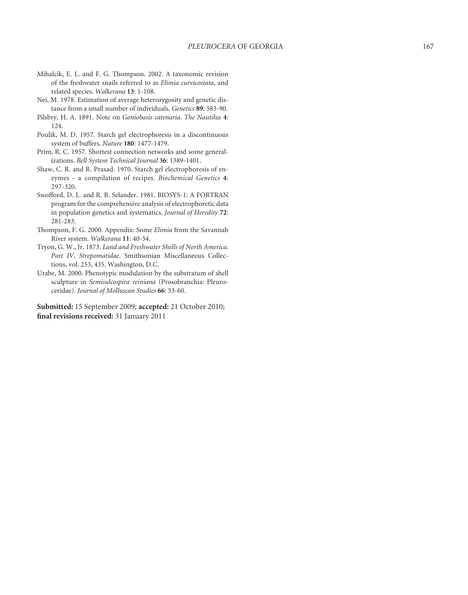- Mihalcik, E. L. and F. G. Thompson. 2002. A taxonomic revision of the freshwater snails referred to as *Elimia curvicostata*, and related species. *Walkerana* **13**: 1-108.
- Nei, M. 1978. Estimation of average heterozygosity and genetic distance from a small number of individuals. *Genetics* **89**: 583-90.
- Pilsbry, H. A. 1891. Note on *Goniobasis catenaria*. *The Nautilus* **4**: 124.
- Poulik, M. D. 1957. Starch gel electrophoresis in a discontinuous system of buffers. *Nature* **180**: 1477-1479.
- Prim, R. C. 1957. Shortest connection networks and some generalizations. *Bell System Technical Journal* **36**: 1389-1401.
- Shaw, C. R. and R. Prasad. 1970. Starch gel electrophoresis of enzymes - a compilation of recipes. *Biochemical Genetics* **4**: 297-320.
- Swofford, D. L. and R. B. Selander. 1981. BIOSYS-1: A FORTRAN program for the comprehensive analysis of electrophoretic data in population genetics and systematics. *Journal of Heredity* **72**: 281-283.
- Thompson, F. G. 2000. Appendix: Some *Elimia* from the Savannah River system. *Walkerana* **11**: 40-54.
- Tryon, G. W., Jr. 1873. *Land and Freshwater Shells of North America. Part IV, Strepomatidae*. Smithsonian Miscellaneous Collections, vol. 253, 435. Washington, D.C.
- Urabe, M. 2000. Phenotypic modulation by the substratum of shell sculpture in *Semisulcospira reiniana* (Prosobranchia: Pleuroceridae). *Journal of Molluscan Studies* **66**: 53-60.

**Submitted:** 15 September 2009; **accepted:** 21 October 2010; final revisions received: 31 January 2011